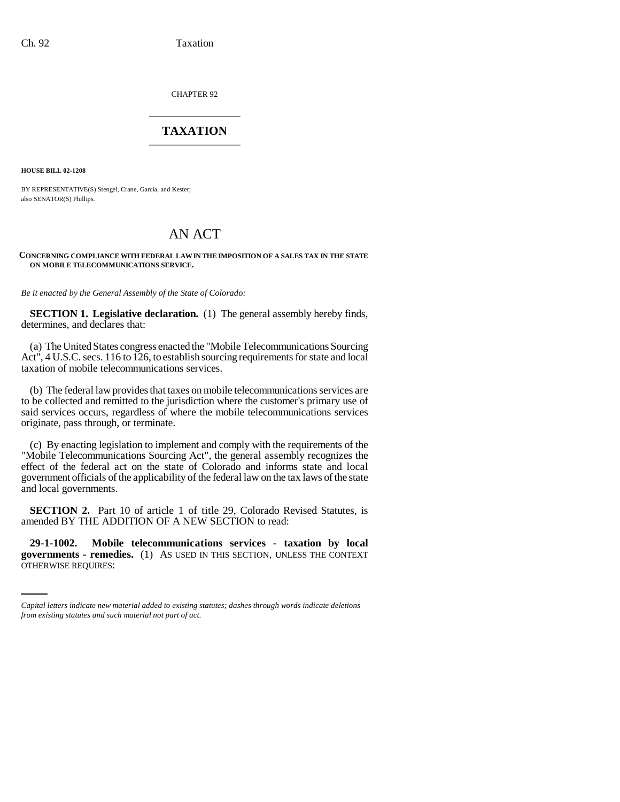CHAPTER 92 \_\_\_\_\_\_\_\_\_\_\_\_\_\_\_

## **TAXATION** \_\_\_\_\_\_\_\_\_\_\_\_\_\_\_

**HOUSE BILL 02-1208**

BY REPRESENTATIVE(S) Stengel, Crane, Garcia, and Kester; also SENATOR(S) Phillips.

# AN ACT

#### **CONCERNING COMPLIANCE WITH FEDERAL LAW IN THE IMPOSITION OF A SALES TAX IN THE STATE ON MOBILE TELECOMMUNICATIONS SERVICE.**

*Be it enacted by the General Assembly of the State of Colorado:*

**SECTION 1. Legislative declaration.** (1) The general assembly hereby finds, determines, and declares that:

(a) The United States congress enacted the "Mobile Telecommunications Sourcing Act", 4 U.S.C. secs. 116 to 126, to establish sourcing requirements for state and local taxation of mobile telecommunications services.

(b) The federal law provides that taxes on mobile telecommunications services are to be collected and remitted to the jurisdiction where the customer's primary use of said services occurs, regardless of where the mobile telecommunications services originate, pass through, or terminate.

(c) By enacting legislation to implement and comply with the requirements of the "Mobile Telecommunications Sourcing Act", the general assembly recognizes the effect of the federal act on the state of Colorado and informs state and local government officials of the applicability of the federal law on the tax laws of the state and local governments.

**SECTION 2.** Part 10 of article 1 of title 29, Colorado Revised Statutes, is amended BY THE ADDITION OF A NEW SECTION to read:

 **29-1-1002. Mobile telecommunications services - taxation by local governments - remedies.** (1) AS USED IN THIS SECTION, UNLESS THE CONTEXT OTHERWISE REQUIRES:

*Capital letters indicate new material added to existing statutes; dashes through words indicate deletions from existing statutes and such material not part of act.*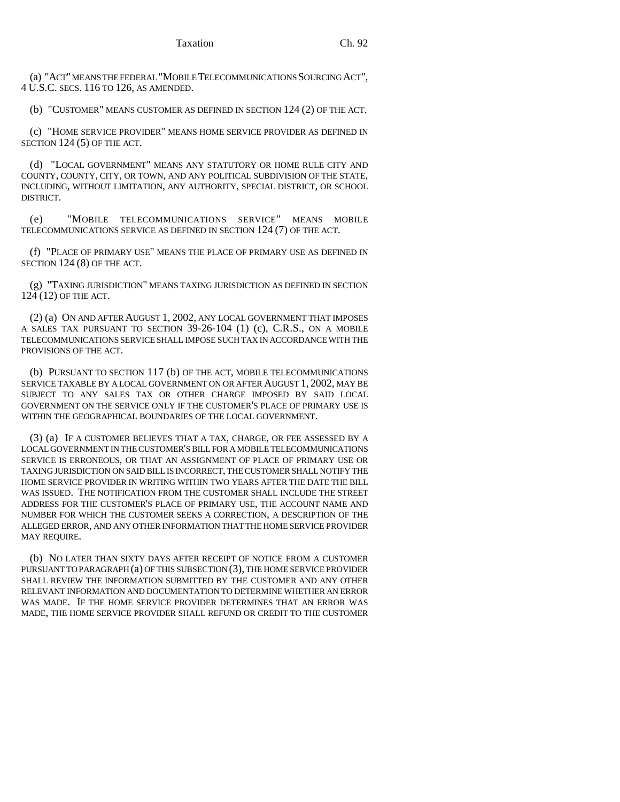(a) "ACT" MEANS THE FEDERAL "MOBILE TELECOMMUNICATIONS SOURCING ACT", 4 U.S.C. SECS. 116 TO 126, AS AMENDED.

(b) "CUSTOMER" MEANS CUSTOMER AS DEFINED IN SECTION 124 (2) OF THE ACT.

(c) "HOME SERVICE PROVIDER" MEANS HOME SERVICE PROVIDER AS DEFINED IN SECTION 124 (5) OF THE ACT.

(d) "LOCAL GOVERNMENT" MEANS ANY STATUTORY OR HOME RULE CITY AND COUNTY, COUNTY, CITY, OR TOWN, AND ANY POLITICAL SUBDIVISION OF THE STATE, INCLUDING, WITHOUT LIMITATION, ANY AUTHORITY, SPECIAL DISTRICT, OR SCHOOL DISTRICT.

(e) "MOBILE TELECOMMUNICATIONS SERVICE" MEANS MOBILE TELECOMMUNICATIONS SERVICE AS DEFINED IN SECTION 124 (7) OF THE ACT.

(f) "PLACE OF PRIMARY USE" MEANS THE PLACE OF PRIMARY USE AS DEFINED IN SECTION 124 (8) OF THE ACT.

(g) "TAXING JURISDICTION" MEANS TAXING JURISDICTION AS DEFINED IN SECTION 124 (12) OF THE ACT.

(2) (a) ON AND AFTER AUGUST 1, 2002, ANY LOCAL GOVERNMENT THAT IMPOSES A SALES TAX PURSUANT TO SECTION 39-26-104 (1) (c), C.R.S., ON A MOBILE TELECOMMUNICATIONS SERVICE SHALL IMPOSE SUCH TAX IN ACCORDANCE WITH THE PROVISIONS OF THE ACT.

(b) PURSUANT TO SECTION 117 (b) OF THE ACT, MOBILE TELECOMMUNICATIONS SERVICE TAXABLE BY A LOCAL GOVERNMENT ON OR AFTER AUGUST 1, 2002, MAY BE SUBJECT TO ANY SALES TAX OR OTHER CHARGE IMPOSED BY SAID LOCAL GOVERNMENT ON THE SERVICE ONLY IF THE CUSTOMER'S PLACE OF PRIMARY USE IS WITHIN THE GEOGRAPHICAL BOUNDARIES OF THE LOCAL GOVERNMENT.

(3) (a) IF A CUSTOMER BELIEVES THAT A TAX, CHARGE, OR FEE ASSESSED BY A LOCAL GOVERNMENT IN THE CUSTOMER'S BILL FOR A MOBILE TELECOMMUNICATIONS SERVICE IS ERRONEOUS, OR THAT AN ASSIGNMENT OF PLACE OF PRIMARY USE OR TAXING JURISDICTION ON SAID BILL IS INCORRECT, THE CUSTOMER SHALL NOTIFY THE HOME SERVICE PROVIDER IN WRITING WITHIN TWO YEARS AFTER THE DATE THE BILL WAS ISSUED. THE NOTIFICATION FROM THE CUSTOMER SHALL INCLUDE THE STREET ADDRESS FOR THE CUSTOMER'S PLACE OF PRIMARY USE, THE ACCOUNT NAME AND NUMBER FOR WHICH THE CUSTOMER SEEKS A CORRECTION, A DESCRIPTION OF THE ALLEGED ERROR, AND ANY OTHER INFORMATION THAT THE HOME SERVICE PROVIDER MAY REQUIRE.

(b) NO LATER THAN SIXTY DAYS AFTER RECEIPT OF NOTICE FROM A CUSTOMER PURSUANT TO PARAGRAPH (a) OF THIS SUBSECTION (3), THE HOME SERVICE PROVIDER SHALL REVIEW THE INFORMATION SUBMITTED BY THE CUSTOMER AND ANY OTHER RELEVANT INFORMATION AND DOCUMENTATION TO DETERMINE WHETHER AN ERROR WAS MADE. IF THE HOME SERVICE PROVIDER DETERMINES THAT AN ERROR WAS MADE, THE HOME SERVICE PROVIDER SHALL REFUND OR CREDIT TO THE CUSTOMER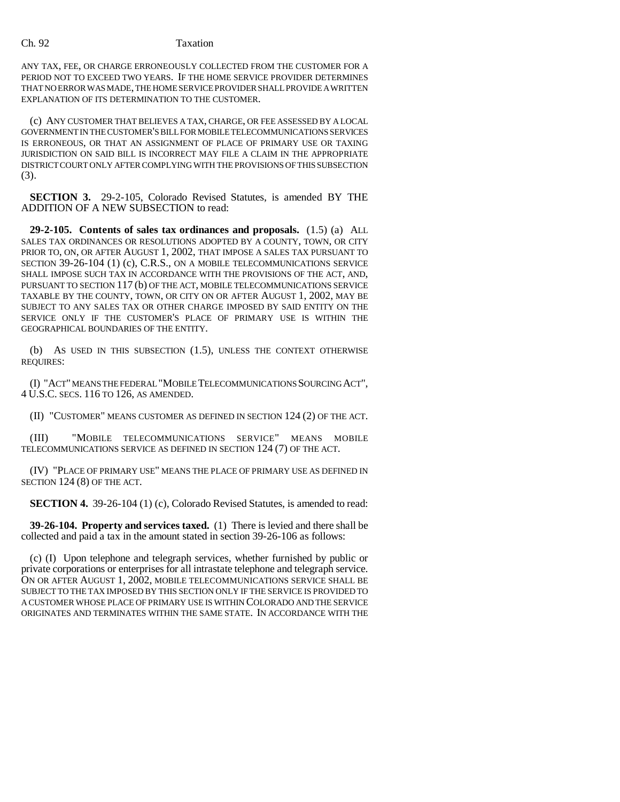### Ch. 92 Taxation

ANY TAX, FEE, OR CHARGE ERRONEOUSLY COLLECTED FROM THE CUSTOMER FOR A PERIOD NOT TO EXCEED TWO YEARS. IF THE HOME SERVICE PROVIDER DETERMINES THAT NO ERROR WAS MADE, THE HOME SERVICE PROVIDER SHALL PROVIDE A WRITTEN EXPLANATION OF ITS DETERMINATION TO THE CUSTOMER.

(c) ANY CUSTOMER THAT BELIEVES A TAX, CHARGE, OR FEE ASSESSED BY A LOCAL GOVERNMENT IN THE CUSTOMER'S BILL FOR MOBILE TELECOMMUNICATIONS SERVICES IS ERRONEOUS, OR THAT AN ASSIGNMENT OF PLACE OF PRIMARY USE OR TAXING JURISDICTION ON SAID BILL IS INCORRECT MAY FILE A CLAIM IN THE APPROPRIATE DISTRICT COURT ONLY AFTER COMPLYING WITH THE PROVISIONS OF THIS SUBSECTION (3).

**SECTION 3.** 29-2-105, Colorado Revised Statutes, is amended BY THE ADDITION OF A NEW SUBSECTION to read:

**29-2-105. Contents of sales tax ordinances and proposals.** (1.5) (a) ALL SALES TAX ORDINANCES OR RESOLUTIONS ADOPTED BY A COUNTY, TOWN, OR CITY PRIOR TO, ON, OR AFTER AUGUST 1, 2002, THAT IMPOSE A SALES TAX PURSUANT TO SECTION 39-26-104 (1) (c), C.R.S., ON A MOBILE TELECOMMUNICATIONS SERVICE SHALL IMPOSE SUCH TAX IN ACCORDANCE WITH THE PROVISIONS OF THE ACT, AND, PURSUANT TO SECTION 117 (b) OF THE ACT, MOBILE TELECOMMUNICATIONS SERVICE TAXABLE BY THE COUNTY, TOWN, OR CITY ON OR AFTER AUGUST 1, 2002, MAY BE SUBJECT TO ANY SALES TAX OR OTHER CHARGE IMPOSED BY SAID ENTITY ON THE SERVICE ONLY IF THE CUSTOMER'S PLACE OF PRIMARY USE IS WITHIN THE GEOGRAPHICAL BOUNDARIES OF THE ENTITY.

(b) AS USED IN THIS SUBSECTION (1.5), UNLESS THE CONTEXT OTHERWISE REQUIRES:

(I) "ACT" MEANS THE FEDERAL "MOBILE TELECOMMUNICATIONS SOURCING ACT", 4 U.S.C. SECS. 116 TO 126, AS AMENDED.

(II) "CUSTOMER" MEANS CUSTOMER AS DEFINED IN SECTION 124 (2) OF THE ACT.

(III) "MOBILE TELECOMMUNICATIONS SERVICE" MEANS MOBILE TELECOMMUNICATIONS SERVICE AS DEFINED IN SECTION 124 (7) OF THE ACT.

(IV) "PLACE OF PRIMARY USE" MEANS THE PLACE OF PRIMARY USE AS DEFINED IN SECTION 124 (8) OF THE ACT.

**SECTION 4.** 39-26-104 (1) (c), Colorado Revised Statutes, is amended to read:

**39-26-104. Property and services taxed.** (1) There is levied and there shall be collected and paid a tax in the amount stated in section 39-26-106 as follows:

(c) (I) Upon telephone and telegraph services, whether furnished by public or private corporations or enterprises for all intrastate telephone and telegraph service. ON OR AFTER AUGUST 1, 2002, MOBILE TELECOMMUNICATIONS SERVICE SHALL BE SUBJECT TO THE TAX IMPOSED BY THIS SECTION ONLY IF THE SERVICE IS PROVIDED TO A CUSTOMER WHOSE PLACE OF PRIMARY USE IS WITHIN COLORADO AND THE SERVICE ORIGINATES AND TERMINATES WITHIN THE SAME STATE. IN ACCORDANCE WITH THE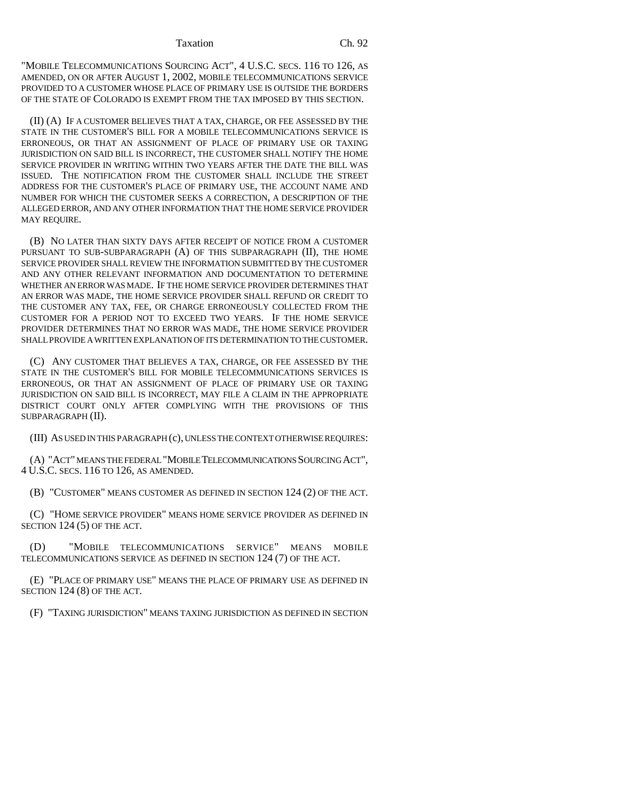#### Taxation Ch. 92

"MOBILE TELECOMMUNICATIONS SOURCING ACT", 4 U.S.C. SECS. 116 TO 126, AS AMENDED, ON OR AFTER AUGUST 1, 2002, MOBILE TELECOMMUNICATIONS SERVICE PROVIDED TO A CUSTOMER WHOSE PLACE OF PRIMARY USE IS OUTSIDE THE BORDERS OF THE STATE OF COLORADO IS EXEMPT FROM THE TAX IMPOSED BY THIS SECTION.

(II) (A) IF A CUSTOMER BELIEVES THAT A TAX, CHARGE, OR FEE ASSESSED BY THE STATE IN THE CUSTOMER'S BILL FOR A MOBILE TELECOMMUNICATIONS SERVICE IS ERRONEOUS, OR THAT AN ASSIGNMENT OF PLACE OF PRIMARY USE OR TAXING JURISDICTION ON SAID BILL IS INCORRECT, THE CUSTOMER SHALL NOTIFY THE HOME SERVICE PROVIDER IN WRITING WITHIN TWO YEARS AFTER THE DATE THE BILL WAS ISSUED. THE NOTIFICATION FROM THE CUSTOMER SHALL INCLUDE THE STREET ADDRESS FOR THE CUSTOMER'S PLACE OF PRIMARY USE, THE ACCOUNT NAME AND NUMBER FOR WHICH THE CUSTOMER SEEKS A CORRECTION, A DESCRIPTION OF THE ALLEGED ERROR, AND ANY OTHER INFORMATION THAT THE HOME SERVICE PROVIDER MAY REQUIRE.

(B) NO LATER THAN SIXTY DAYS AFTER RECEIPT OF NOTICE FROM A CUSTOMER PURSUANT TO SUB-SUBPARAGRAPH (A) OF THIS SUBPARAGRAPH (II), THE HOME SERVICE PROVIDER SHALL REVIEW THE INFORMATION SUBMITTED BY THE CUSTOMER AND ANY OTHER RELEVANT INFORMATION AND DOCUMENTATION TO DETERMINE WHETHER AN ERROR WAS MADE. IF THE HOME SERVICE PROVIDER DETERMINES THAT AN ERROR WAS MADE, THE HOME SERVICE PROVIDER SHALL REFUND OR CREDIT TO THE CUSTOMER ANY TAX, FEE, OR CHARGE ERRONEOUSLY COLLECTED FROM THE CUSTOMER FOR A PERIOD NOT TO EXCEED TWO YEARS. IF THE HOME SERVICE PROVIDER DETERMINES THAT NO ERROR WAS MADE, THE HOME SERVICE PROVIDER SHALL PROVIDE A WRITTEN EXPLANATION OF ITS DETERMINATION TO THE CUSTOMER.

(C) ANY CUSTOMER THAT BELIEVES A TAX, CHARGE, OR FEE ASSESSED BY THE STATE IN THE CUSTOMER'S BILL FOR MOBILE TELECOMMUNICATIONS SERVICES IS ERRONEOUS, OR THAT AN ASSIGNMENT OF PLACE OF PRIMARY USE OR TAXING JURISDICTION ON SAID BILL IS INCORRECT, MAY FILE A CLAIM IN THE APPROPRIATE DISTRICT COURT ONLY AFTER COMPLYING WITH THE PROVISIONS OF THIS SUBPARAGRAPH (II).

(III) AS USED IN THIS PARAGRAPH (c), UNLESS THE CONTEXT OTHERWISE REQUIRES:

(A) "ACT" MEANS THE FEDERAL "MOBILE TELECOMMUNICATIONS SOURCING ACT", 4 U.S.C. SECS. 116 TO 126, AS AMENDED.

(B) "CUSTOMER" MEANS CUSTOMER AS DEFINED IN SECTION 124 (2) OF THE ACT.

(C) "HOME SERVICE PROVIDER" MEANS HOME SERVICE PROVIDER AS DEFINED IN SECTION 124 (5) OF THE ACT.

(D) "MOBILE TELECOMMUNICATIONS SERVICE" MEANS MOBILE TELECOMMUNICATIONS SERVICE AS DEFINED IN SECTION 124 (7) OF THE ACT.

(E) "PLACE OF PRIMARY USE" MEANS THE PLACE OF PRIMARY USE AS DEFINED IN SECTION 124 (8) OF THE ACT.

(F) "TAXING JURISDICTION" MEANS TAXING JURISDICTION AS DEFINED IN SECTION